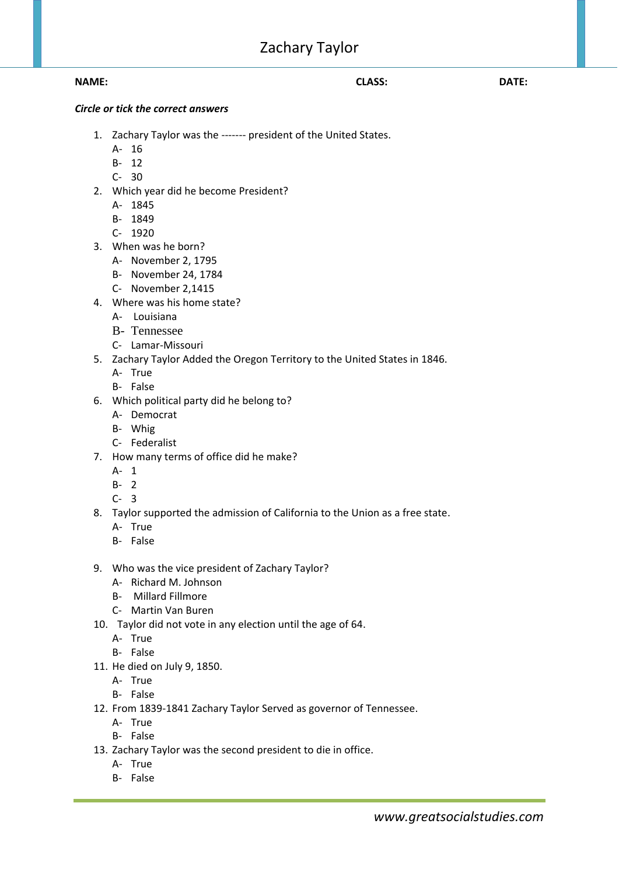# Zachary Taylor

### **NAME: CLASS: DATE:**

## *Circle or tick the correct answers*

- 1. Zachary Taylor was the ------- president of the United States.
	- A- 16
	- B- 12
	- C- 30
- 2. Which year did he become President?
	- A- 1845
	- B- 1849
	- C- 1920
- 3. When was he born?
	- A- November 2, 1795
	- B- November 24, 1784
	- C- November 2,1415
- 4. Where was his home state?
	- A- Louisiana
	- B- Tennessee
	- C- Lamar-Missouri
- 5. Zachary Taylor Added the Oregon Territory to the United States in 1846.
	- A- True
	- B- False
- 6. Which political party did he belong to?
	- A- Democrat
	- B- Whig
	- C- Federalist
- 7. How many terms of office did he make?
	- A- 1
	- B- 2
	- C- 3
- 8. Taylor supported the admission of California to the Union as a free state.
	- A- True
	- B- False
- 9. Who was the vice president of Zachary Taylor?
	- A- Richard M. Johnson
	- B- Millard Fillmore
	- C- Martin Van Buren
- 10. Taylor did not vote in any election until the age of 64.
	- A- True
	- B- False
- 11. He died on July 9, 1850.
	- A- True
	- B- False
- 12. From 1839-1841 Zachary Taylor Served as governor of Tennessee.
	- A- True
	- B- False
- 13. Zachary Taylor was the second president to die in office.
	- A- True
	- B- False